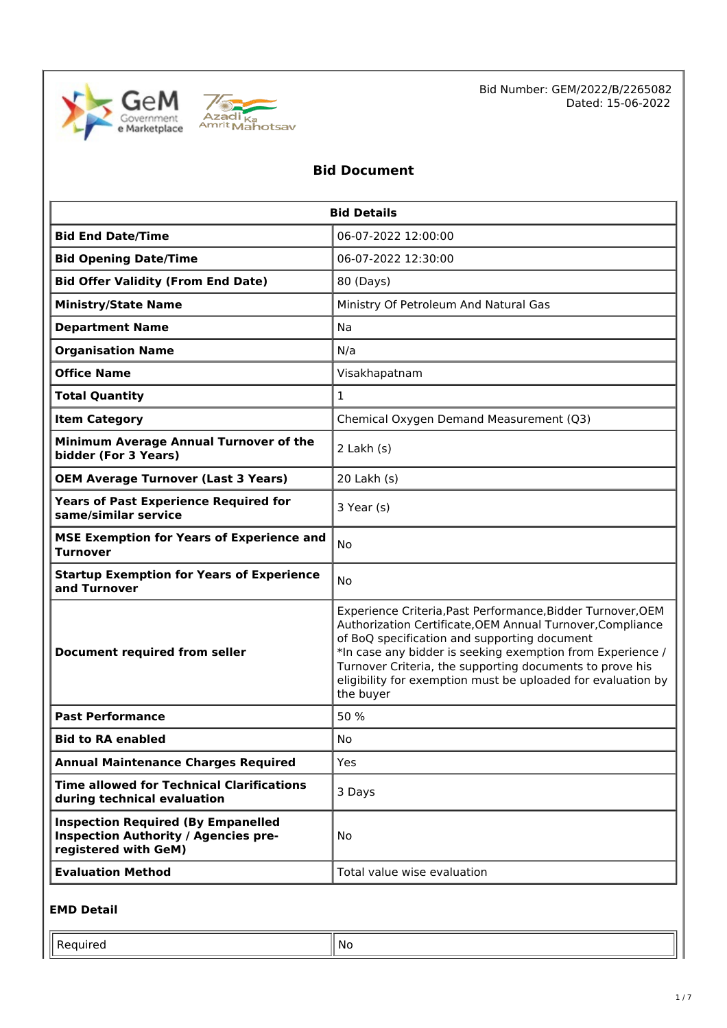



Bid Number: GEM/2022/B/2265082 Dated: 15-06-2022

### **Bid Document**

| <b>Bid Details</b>                                                                                               |                                                                                                                                                                                                                                                                                                                                                                                  |  |  |
|------------------------------------------------------------------------------------------------------------------|----------------------------------------------------------------------------------------------------------------------------------------------------------------------------------------------------------------------------------------------------------------------------------------------------------------------------------------------------------------------------------|--|--|
| <b>Bid End Date/Time</b>                                                                                         | 06-07-2022 12:00:00                                                                                                                                                                                                                                                                                                                                                              |  |  |
| <b>Bid Opening Date/Time</b>                                                                                     | 06-07-2022 12:30:00                                                                                                                                                                                                                                                                                                                                                              |  |  |
| <b>Bid Offer Validity (From End Date)</b>                                                                        | 80 (Days)                                                                                                                                                                                                                                                                                                                                                                        |  |  |
| <b>Ministry/State Name</b>                                                                                       | Ministry Of Petroleum And Natural Gas                                                                                                                                                                                                                                                                                                                                            |  |  |
| <b>Department Name</b>                                                                                           | Na                                                                                                                                                                                                                                                                                                                                                                               |  |  |
| <b>Organisation Name</b>                                                                                         | N/a                                                                                                                                                                                                                                                                                                                                                                              |  |  |
| <b>Office Name</b>                                                                                               | Visakhapatnam                                                                                                                                                                                                                                                                                                                                                                    |  |  |
| <b>Total Quantity</b>                                                                                            | $\mathbf{1}$                                                                                                                                                                                                                                                                                                                                                                     |  |  |
| <b>Item Category</b>                                                                                             | Chemical Oxygen Demand Measurement (Q3)                                                                                                                                                                                                                                                                                                                                          |  |  |
| Minimum Average Annual Turnover of the<br>bidder (For 3 Years)                                                   | $2$ Lakh $(s)$                                                                                                                                                                                                                                                                                                                                                                   |  |  |
| <b>OEM Average Turnover (Last 3 Years)</b>                                                                       | 20 Lakh (s)                                                                                                                                                                                                                                                                                                                                                                      |  |  |
| <b>Years of Past Experience Required for</b><br>same/similar service                                             | 3 Year (s)                                                                                                                                                                                                                                                                                                                                                                       |  |  |
| <b>MSE Exemption for Years of Experience and</b><br><b>Turnover</b>                                              | <b>No</b>                                                                                                                                                                                                                                                                                                                                                                        |  |  |
| <b>Startup Exemption for Years of Experience</b><br>and Turnover                                                 | <b>No</b>                                                                                                                                                                                                                                                                                                                                                                        |  |  |
| <b>Document required from seller</b>                                                                             | Experience Criteria, Past Performance, Bidder Turnover, OEM<br>Authorization Certificate, OEM Annual Turnover, Compliance<br>of BoQ specification and supporting document<br>*In case any bidder is seeking exemption from Experience /<br>Turnover Criteria, the supporting documents to prove his<br>eligibility for exemption must be uploaded for evaluation by<br>the buyer |  |  |
| <b>Past Performance</b>                                                                                          | 50 %                                                                                                                                                                                                                                                                                                                                                                             |  |  |
| <b>Bid to RA enabled</b>                                                                                         | No                                                                                                                                                                                                                                                                                                                                                                               |  |  |
| <b>Annual Maintenance Charges Required</b>                                                                       | Yes                                                                                                                                                                                                                                                                                                                                                                              |  |  |
| <b>Time allowed for Technical Clarifications</b><br>during technical evaluation                                  | 3 Days                                                                                                                                                                                                                                                                                                                                                                           |  |  |
| <b>Inspection Required (By Empanelled</b><br><b>Inspection Authority / Agencies pre-</b><br>registered with GeM) | <b>No</b>                                                                                                                                                                                                                                                                                                                                                                        |  |  |
| <b>Evaluation Method</b>                                                                                         | Total value wise evaluation                                                                                                                                                                                                                                                                                                                                                      |  |  |

#### **EMD Detail**

Required  $\|\mathsf{No}\|$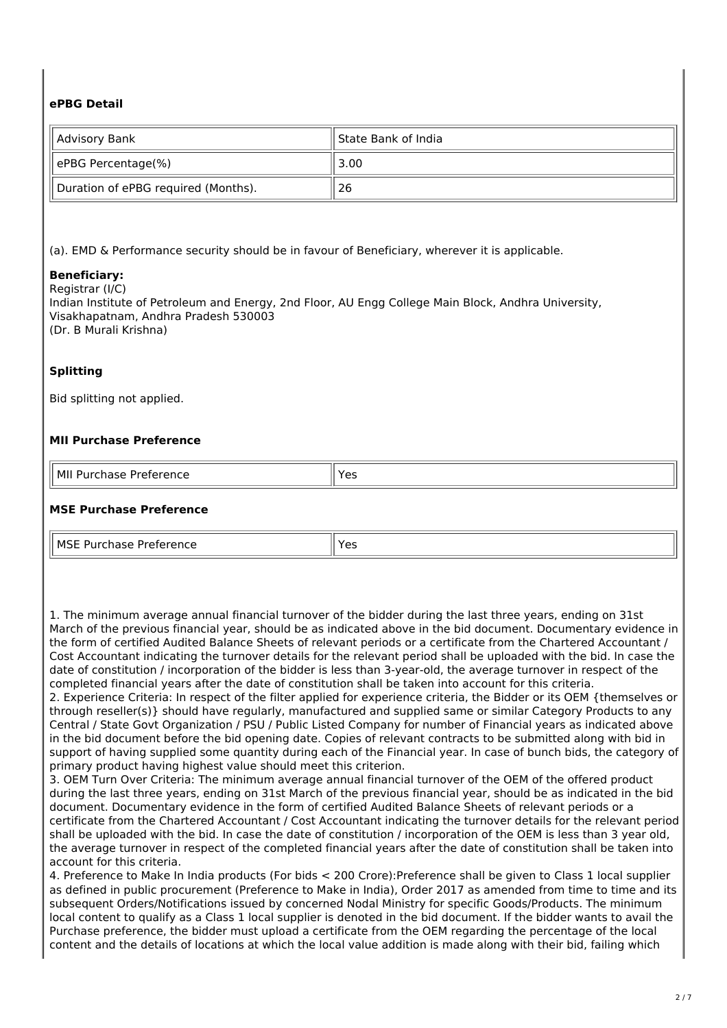#### **ePBG Detail**

| State Bank of India<br>   Advisory Bank |      |
|-----------------------------------------|------|
| ePBG Percentage(%)                      | 3.00 |
| Duration of ePBG required (Months).     | 26   |

(a). EMD & Performance security should be in favour of Beneficiary, wherever it is applicable.

#### **Beneficiary:**

Registrar (I/C)

Indian Institute of Petroleum and Energy, 2nd Floor, AU Engg College Main Block, Andhra University, Visakhapatnam, Andhra Pradesh 530003 (Dr. B Murali Krishna)

#### **Splitting**

Bid splitting not applied.

#### **MII Purchase Preference**

| l MII<br>Purchase<br>11.001.00000000<br>$\sim$ - reterminal $\sim$<br>$\sim$<br>. | `o<br>ີ<br>- - |
|-----------------------------------------------------------------------------------|----------------|

#### **MSE Purchase Preference**

| l MSF Pi<br>Preference<br>المتماسم والمتارين<br>nase<br>.<br>. | $V \cap V$<br>--<br>ີ |
|----------------------------------------------------------------|-----------------------|

1. The minimum average annual financial turnover of the bidder during the last three years, ending on 31st March of the previous financial year, should be as indicated above in the bid document. Documentary evidence in the form of certified Audited Balance Sheets of relevant periods or a certificate from the Chartered Accountant / Cost Accountant indicating the turnover details for the relevant period shall be uploaded with the bid. In case the date of constitution / incorporation of the bidder is less than 3-year-old, the average turnover in respect of the completed financial years after the date of constitution shall be taken into account for this criteria.

2. Experience Criteria: In respect of the filter applied for experience criteria, the Bidder or its OEM {themselves or through reseller(s)} should have regularly, manufactured and supplied same or similar Category Products to any Central / State Govt Organization / PSU / Public Listed Company for number of Financial years as indicated above in the bid document before the bid opening date. Copies of relevant contracts to be submitted along with bid in support of having supplied some quantity during each of the Financial year. In case of bunch bids, the category of primary product having highest value should meet this criterion.

3. OEM Turn Over Criteria: The minimum average annual financial turnover of the OEM of the offered product during the last three years, ending on 31st March of the previous financial year, should be as indicated in the bid document. Documentary evidence in the form of certified Audited Balance Sheets of relevant periods or a certificate from the Chartered Accountant / Cost Accountant indicating the turnover details for the relevant period shall be uploaded with the bid. In case the date of constitution / incorporation of the OEM is less than 3 year old, the average turnover in respect of the completed financial years after the date of constitution shall be taken into account for this criteria.

4. Preference to Make In India products (For bids < 200 Crore):Preference shall be given to Class 1 local supplier as defined in public procurement (Preference to Make in India), Order 2017 as amended from time to time and its subsequent Orders/Notifications issued by concerned Nodal Ministry for specific Goods/Products. The minimum local content to qualify as a Class 1 local supplier is denoted in the bid document. If the bidder wants to avail the Purchase preference, the bidder must upload a certificate from the OEM regarding the percentage of the local content and the details of locations at which the local value addition is made along with their bid, failing which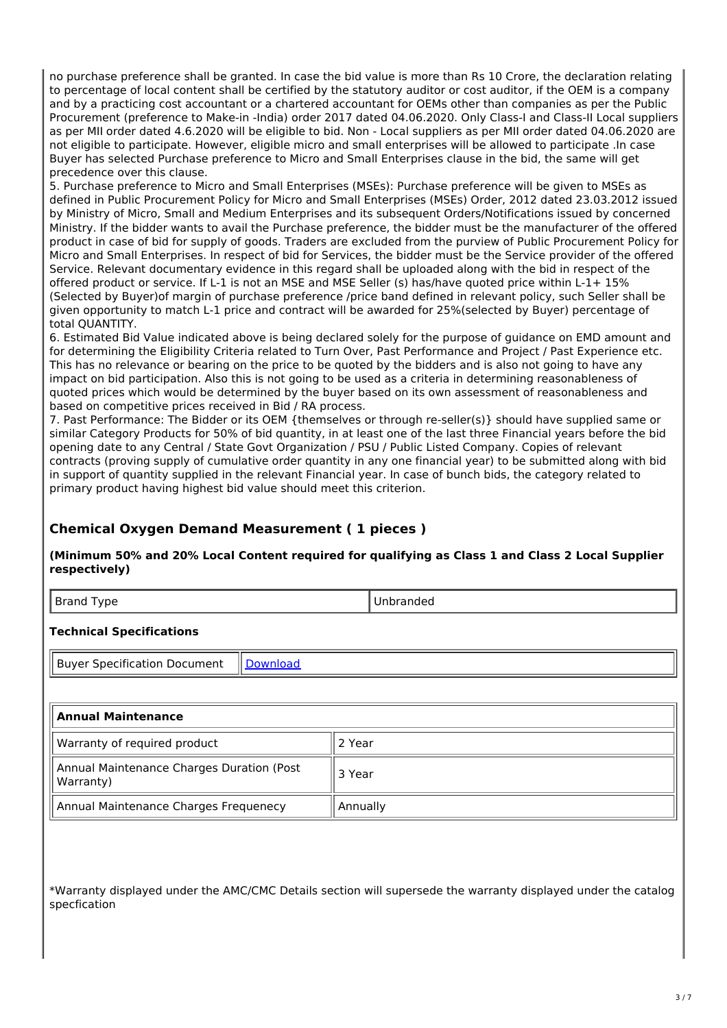no purchase preference shall be granted. In case the bid value is more than Rs 10 Crore, the declaration relating to percentage of local content shall be certified by the statutory auditor or cost auditor, if the OEM is a company and by a practicing cost accountant or a chartered accountant for OEMs other than companies as per the Public Procurement (preference to Make-in -India) order 2017 dated 04.06.2020. Only Class-I and Class-II Local suppliers as per MII order dated 4.6.2020 will be eligible to bid. Non - Local suppliers as per MII order dated 04.06.2020 are not eligible to participate. However, eligible micro and small enterprises will be allowed to participate .In case Buyer has selected Purchase preference to Micro and Small Enterprises clause in the bid, the same will get precedence over this clause.

5. Purchase preference to Micro and Small Enterprises (MSEs): Purchase preference will be given to MSEs as defined in Public Procurement Policy for Micro and Small Enterprises (MSEs) Order, 2012 dated 23.03.2012 issued by Ministry of Micro, Small and Medium Enterprises and its subsequent Orders/Notifications issued by concerned Ministry. If the bidder wants to avail the Purchase preference, the bidder must be the manufacturer of the offered product in case of bid for supply of goods. Traders are excluded from the purview of Public Procurement Policy for Micro and Small Enterprises. In respect of bid for Services, the bidder must be the Service provider of the offered Service. Relevant documentary evidence in this regard shall be uploaded along with the bid in respect of the offered product or service. If L-1 is not an MSE and MSE Seller (s) has/have quoted price within L-1+ 15% (Selected by Buyer)of margin of purchase preference /price band defined in relevant policy, such Seller shall be given opportunity to match L-1 price and contract will be awarded for 25%(selected by Buyer) percentage of total QUANTITY.

6. Estimated Bid Value indicated above is being declared solely for the purpose of guidance on EMD amount and for determining the Eligibility Criteria related to Turn Over, Past Performance and Project / Past Experience etc. This has no relevance or bearing on the price to be quoted by the bidders and is also not going to have any impact on bid participation. Also this is not going to be used as a criteria in determining reasonableness of quoted prices which would be determined by the buyer based on its own assessment of reasonableness and based on competitive prices received in Bid / RA process.

7. Past Performance: The Bidder or its OEM {themselves or through re-seller(s)} should have supplied same or similar Category Products for 50% of bid quantity, in at least one of the last three Financial years before the bid opening date to any Central / State Govt Organization / PSU / Public Listed Company. Copies of relevant contracts (proving supply of cumulative order quantity in any one financial year) to be submitted along with bid in support of quantity supplied in the relevant Financial year. In case of bunch bids, the category related to primary product having highest bid value should meet this criterion.

### **Chemical Oxygen Demand Measurement ( 1 pieces )**

**(Minimum 50% and 20% Local Content required for qualifying as Class 1 and Class 2 Local Supplier respectively)**

| D<br>$\cdots$<br>vpe<br>1.411<br>$\sim$ $\sim$ | ıμ |
|------------------------------------------------|----|
|                                                |    |

#### **Technical Specifications**

Buyer Specification Document | Download

| Annual Maintenance                                     |          |
|--------------------------------------------------------|----------|
| Warranty of required product                           | 2 Year   |
| Annual Maintenance Charges Duration (Post<br>Warranty) | 3 Year   |
| Annual Maintenance Charges Frequenecy                  | Annually |

\*Warranty displayed under the AMC/CMC Details section will supersede the warranty displayed under the catalog specfication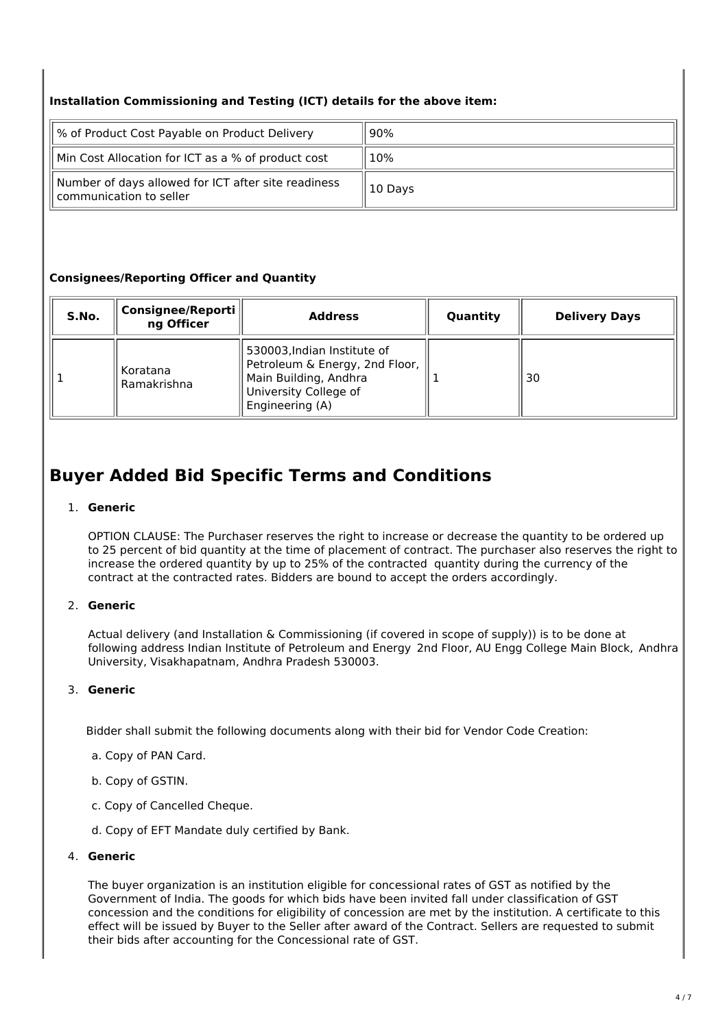#### **Installation Commissioning and Testing (ICT) details for the above item:**

| % of Product Cost Payable on Product Delivery                                  | 90%     |  |
|--------------------------------------------------------------------------------|---------|--|
| Min Cost Allocation for ICT as a % of product cost                             | 10%     |  |
| Number of days allowed for ICT after site readiness<br>communication to seller | 10 Days |  |

#### **Consignees/Reporting Officer and Quantity**

| S.No. | Consignee/Reporti<br>ng Officer | <b>Address</b>                                                                                                                     | Quantity | <b>Delivery Days</b> |
|-------|---------------------------------|------------------------------------------------------------------------------------------------------------------------------------|----------|----------------------|
|       | Koratana<br>Ramakrishna         | 530003, Indian Institute of<br>Petroleum & Energy, 2nd Floor,<br>Main Building, Andhra<br>University College of<br>Engineering (A) |          | 30                   |

## **Buyer Added Bid Specific Terms and Conditions**

#### 1. **Generic**

OPTION CLAUSE: The Purchaser reserves the right to increase or decrease the quantity to be ordered up to 25 percent of bid quantity at the time of placement of contract. The purchaser also reserves the right to increase the ordered quantity by up to 25% of the contracted quantity during the currency of the contract at the contracted rates. Bidders are bound to accept the orders accordingly.

#### 2. **Generic**

Actual delivery (and Installation & Commissioning (if covered in scope of supply)) is to be done at following address Indian Institute of Petroleum and Energy 2nd Floor, AU Engg College Main Block, Andhra University, Visakhapatnam, Andhra Pradesh 530003.

#### 3. **Generic**

Bidder shall submit the following documents along with their bid for Vendor Code Creation:

- a. Copy of PAN Card.
- b. Copy of GSTIN.
- c. Copy of Cancelled Cheque.
- d. Copy of EFT Mandate duly certified by Bank.

#### 4. **Generic**

The buyer organization is an institution eligible for concessional rates of GST as notified by the Government of India. The goods for which bids have been invited fall under classification of GST concession and the conditions for eligibility of concession are met by the institution. A certificate to this effect will be issued by Buyer to the Seller after award of the Contract. Sellers are requested to submit their bids after accounting for the Concessional rate of GST.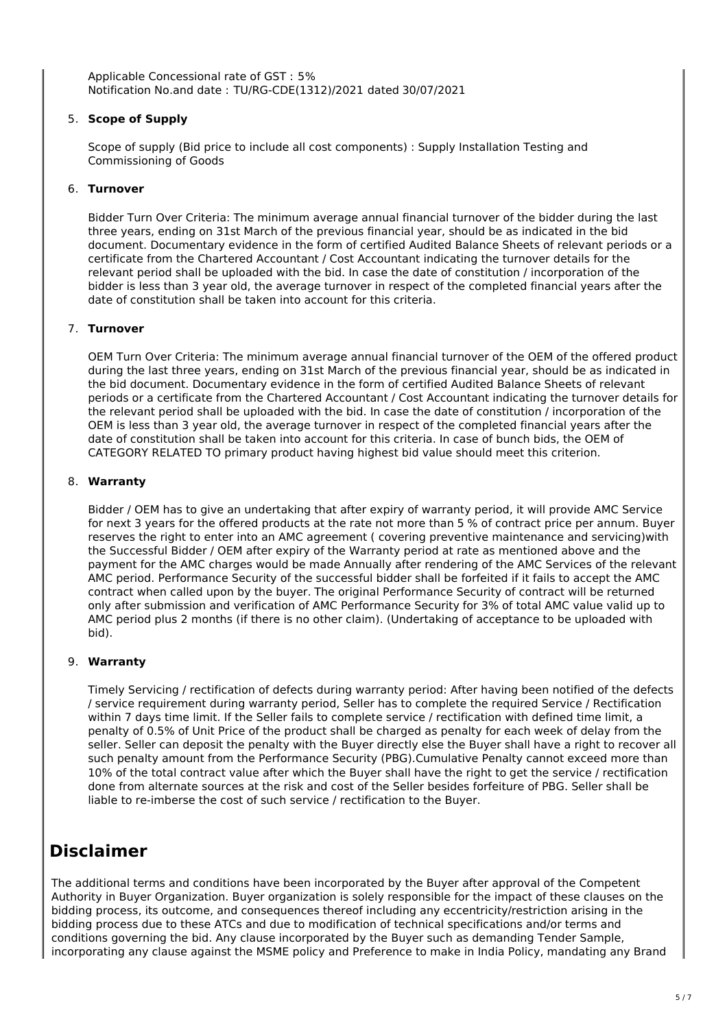Applicable Concessional rate of GST : 5% Notification No.and date : TU/RG-CDE(1312)/2021 dated 30/07/2021

#### 5. **Scope of Supply**

Scope of supply (Bid price to include all cost components) : Supply Installation Testing and Commissioning of Goods

#### 6. **Turnover**

Bidder Turn Over Criteria: The minimum average annual financial turnover of the bidder during the last three years, ending on 31st March of the previous financial year, should be as indicated in the bid document. Documentary evidence in the form of certified Audited Balance Sheets of relevant periods or a certificate from the Chartered Accountant / Cost Accountant indicating the turnover details for the relevant period shall be uploaded with the bid. In case the date of constitution / incorporation of the bidder is less than 3 year old, the average turnover in respect of the completed financial years after the date of constitution shall be taken into account for this criteria.

#### 7. **Turnover**

OEM Turn Over Criteria: The minimum average annual financial turnover of the OEM of the offered product during the last three years, ending on 31st March of the previous financial year, should be as indicated in the bid document. Documentary evidence in the form of certified Audited Balance Sheets of relevant periods or a certificate from the Chartered Accountant / Cost Accountant indicating the turnover details for the relevant period shall be uploaded with the bid. In case the date of constitution / incorporation of the OEM is less than 3 year old, the average turnover in respect of the completed financial years after the date of constitution shall be taken into account for this criteria. In case of bunch bids, the OEM of CATEGORY RELATED TO primary product having highest bid value should meet this criterion.

#### 8. **Warranty**

Bidder / OEM has to give an undertaking that after expiry of warranty period, it will provide AMC Service for next 3 years for the offered products at the rate not more than 5 % of contract price per annum. Buyer reserves the right to enter into an AMC agreement ( covering preventive maintenance and servicing)with the Successful Bidder / OEM after expiry of the Warranty period at rate as mentioned above and the payment for the AMC charges would be made Annually after rendering of the AMC Services of the relevant AMC period. Performance Security of the successful bidder shall be forfeited if it fails to accept the AMC contract when called upon by the buyer. The original Performance Security of contract will be returned only after submission and verification of AMC Performance Security for 3% of total AMC value valid up to AMC period plus 2 months (if there is no other claim). (Undertaking of acceptance to be uploaded with bid).

#### 9. **Warranty**

Timely Servicing / rectification of defects during warranty period: After having been notified of the defects / service requirement during warranty period, Seller has to complete the required Service / Rectification within 7 days time limit. If the Seller fails to complete service / rectification with defined time limit, a penalty of 0.5% of Unit Price of the product shall be charged as penalty for each week of delay from the seller. Seller can deposit the penalty with the Buyer directly else the Buyer shall have a right to recover all such penalty amount from the Performance Security (PBG).Cumulative Penalty cannot exceed more than 10% of the total contract value after which the Buyer shall have the right to get the service / rectification done from alternate sources at the risk and cost of the Seller besides forfeiture of PBG. Seller shall be liable to re-imberse the cost of such service / rectification to the Buyer.

## **Disclaimer**

The additional terms and conditions have been incorporated by the Buyer after approval of the Competent Authority in Buyer Organization. Buyer organization is solely responsible for the impact of these clauses on the bidding process, its outcome, and consequences thereof including any eccentricity/restriction arising in the bidding process due to these ATCs and due to modification of technical specifications and/or terms and conditions governing the bid. Any clause incorporated by the Buyer such as demanding Tender Sample, incorporating any clause against the MSME policy and Preference to make in India Policy, mandating any Brand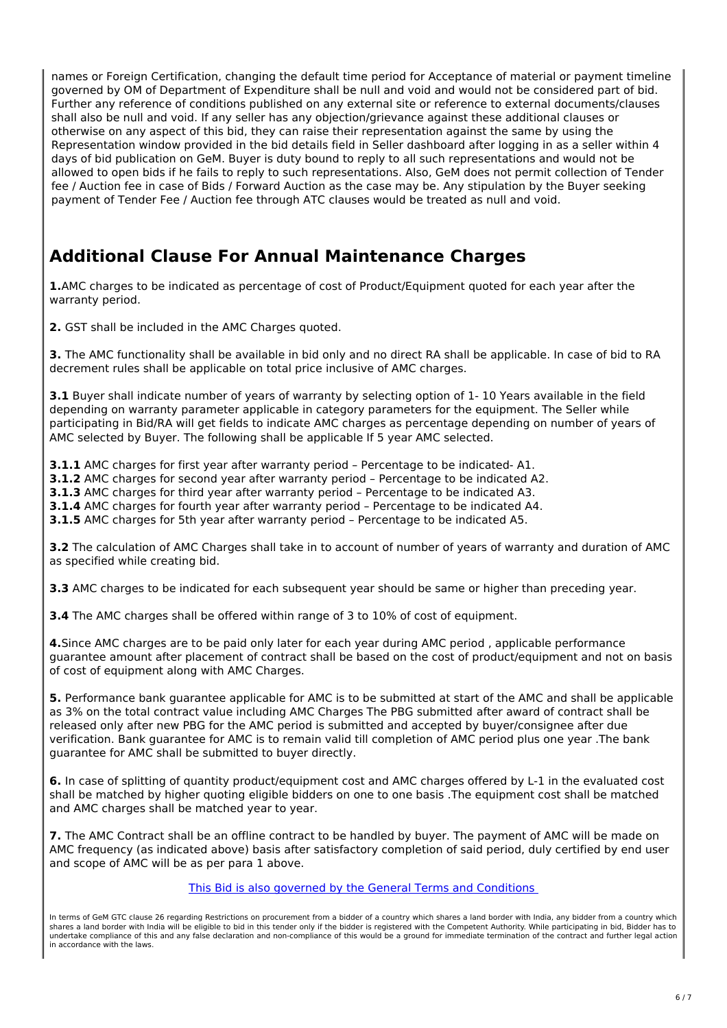names or Foreign Certification, changing the default time period for Acceptance of material or payment timeline governed by OM of Department of Expenditure shall be null and void and would not be considered part of bid. Further any reference of conditions published on any external site or reference to external documents/clauses shall also be null and void. If any seller has any objection/grievance against these additional clauses or otherwise on any aspect of this bid, they can raise their representation against the same by using the Representation window provided in the bid details field in Seller dashboard after logging in as a seller within 4 days of bid publication on GeM. Buyer is duty bound to reply to all such representations and would not be allowed to open bids if he fails to reply to such representations. Also, GeM does not permit collection of Tender fee / Auction fee in case of Bids / Forward Auction as the case may be. Any stipulation by the Buyer seeking payment of Tender Fee / Auction fee through ATC clauses would be treated as null and void.

# **Additional Clause For Annual Maintenance Charges**

**1.**AMC charges to be indicated as percentage of cost of Product/Equipment quoted for each year after the warranty period.

**2.** GST shall be included in the AMC Charges quoted.

**3.** The AMC functionality shall be available in bid only and no direct RA shall be applicable. In case of bid to RA decrement rules shall be applicable on total price inclusive of AMC charges.

**3.1** Buyer shall indicate number of years of warranty by selecting option of 1- 10 Years available in the field depending on warranty parameter applicable in category parameters for the equipment. The Seller while participating in Bid/RA will get fields to indicate AMC charges as percentage depending on number of years of AMC selected by Buyer. The following shall be applicable If 5 year AMC selected.

**3.1.1** AMC charges for first year after warranty period – Percentage to be indicated- A1.

**3.1.2** AMC charges for second year after warranty period – Percentage to be indicated A2.

**3.1.3** AMC charges for third year after warranty period – Percentage to be indicated A3.

**3.1.4** AMC charges for fourth year after warranty period – Percentage to be indicated A4.

**3.1.5** AMC charges for 5th year after warranty period – Percentage to be indicated A5.

**3.2** The calculation of AMC Charges shall take in to account of number of years of warranty and duration of AMC as specified while creating bid.

**3.3** AMC charges to be indicated for each subsequent year should be same or higher than preceding year.

**3.4** The AMC charges shall be offered within range of 3 to 10% of cost of equipment.

**4.**Since AMC charges are to be paid only later for each year during AMC period , applicable performance guarantee amount after placement of contract shall be based on the cost of product/equipment and not on basis of cost of equipment along with AMC Charges.

**5.** Performance bank guarantee applicable for AMC is to be submitted at start of the AMC and shall be applicable as 3% on the total contract value including AMC Charges The PBG submitted after award of contract shall be released only after new PBG for the AMC period is submitted and accepted by buyer/consignee after due verification. Bank guarantee for AMC is to remain valid till completion of AMC period plus one year .The bank guarantee for AMC shall be submitted to buyer directly.

**6.** In case of splitting of quantity product/equipment cost and AMC charges offered by L-1 in the evaluated cost shall be matched by higher quoting eligible bidders on one to one basis .The equipment cost shall be matched and AMC charges shall be matched year to year.

**7.** The AMC Contract shall be an offline contract to be handled by buyer. The payment of AMC will be made on AMC frequency (as indicated above) basis after satisfactory completion of said period, duly certified by end user and scope of AMC will be as per para 1 above.

This Bid is also governed by the General Terms and Conditions

In terms of GeM GTC clause 26 regarding Restrictions on procurement from a bidder of a country which shares a land border with India, any bidder from a country which shares a land border with India will be eligible to bid in this tender only if the bidder is registered with the Competent Authority. While participating in bid, Bidder has to undertake compliance of this and any false declaration and non-compliance of this would be a ground for immediate termination of the contract and further legal action in accordance with the laws.